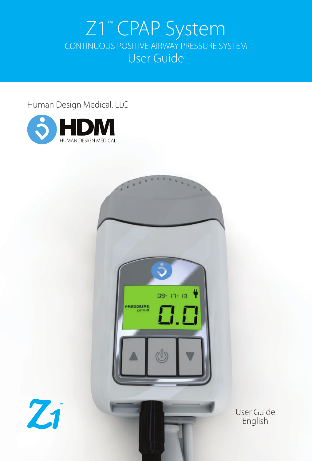# Z1™ CPAP System CONTINUOUS POSITIVE AIRWAY PRESSURE SYSTEM User Guide

#### Human Design Medical, LLC







User Guide English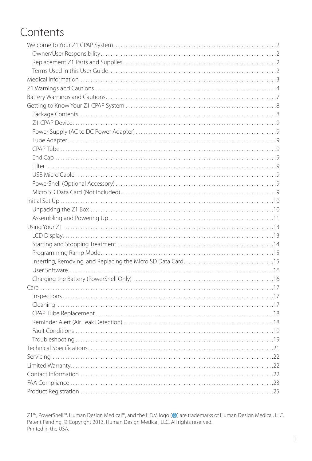# Contents

Z1™, PowerShell™, Human Design Medical™, and the HDM logo (●) are trademarks of Human Design Medical, LLC.<br>Patent Pending. © Copyright 2013, Human Design Medical, LLC. All rights reserved. Printed in the USA.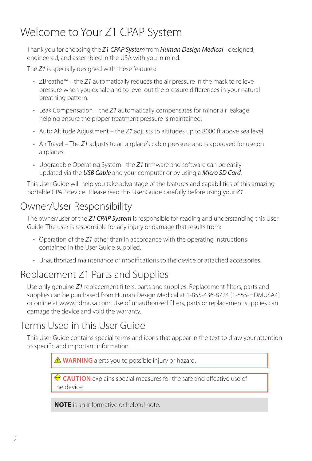# Welcome to Your Z1 CPAP System

Thank you for choosing the *Z1 CPAP System* from *Human Design Medical*– designed, engineered, and assembled in the USA with you in mind.

The *Z1* is specially designed with these features:

- ZBreathe™ the *Z1* automatically reduces the air pressure in the mask to relieve pressure when you exhale and to level out the pressure differences in your natural breathing pattern.
- Leak Compensation the *Z1* automatically compensates for minor air leakage helping ensure the proper treatment pressure is maintained.
- Auto Altitude Adjustment the *Z1* adjusts to altitudes up to 8000 ft above sea level.
- Air Travel The *Z1* adjusts to an airplane's cabin pressure and is approved for use on airplanes.
- Upgradable Operating System– the *Z1* firmware and software can be easily updated via the *USB Cable* and your computer or by using a *Micro SD Card*.

This User Guide will help you take advantage of the features and capabilities of this amazing portable CPAP device. Please read this User Guide carefully before using your *Z1*.

## Owner/User Responsibility

The owner/user of the *Z1 CPAP System* is responsible for reading and understanding this User Guide. The user is responsible for any injury or damage that results from:

- Operation of the *Z1* other than in accordance with the operating instructions contained in the User Guide supplied.
- Unauthorized maintenance or modifications to the device or attached accessories.

## Replacement Z1 Parts and Supplies

Use only genuine *Z1* replacement filters, parts and supplies. Replacement filters, parts and supplies can be purchased from Human Design Medical at 1-855-436-8724 [1-855-HDMUSA4] or online at www.hdmusa.com. Use of unauthorized filters, parts or replacement supplies can damage the device and void the warranty.

## Terms Used in this User Guide

This User Guide contains special terms and icons that appear in the text to draw your attention to specific and important information.

 **WARNING** alerts you to possible injury or hazard.

 **CAUTION** explains special measures for the safe and effective use of the device.

**NOTE** is an informative or helpful note.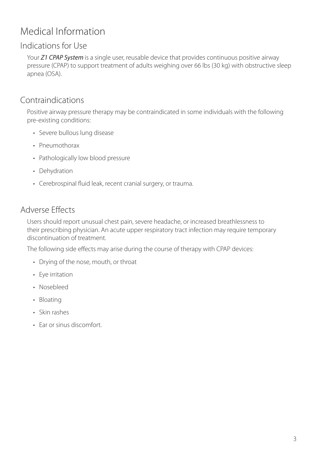## Medical Information

#### Indications for Use

Your *Z1 CPAP System* is a single user, reusable device that provides continuous positive airway pressure (CPAP) to support treatment of adults weighing over 66 lbs (30 kg) with obstructive sleep apnea (OSA).

#### Contraindications

Positive airway pressure therapy may be contraindicated in some individuals with the following pre-existing conditions:

- Severe bullous lung disease
- Pneumothorax
- Pathologically low blood pressure
- Dehydration
- Cerebrospinal fluid leak, recent cranial surgery, or trauma.

#### Adverse Effects

Users should report unusual chest pain, severe headache, or increased breathlessness to their prescribing physician. An acute upper respiratory tract infection may require temporary discontinuation of treatment.

The following side effects may arise during the course of therapy with CPAP devices:

- Drying of the nose, mouth, or throat
- Eye irritation
- Nosebleed
- Bloating
- Skin rashes
- Ear or sinus discomfort.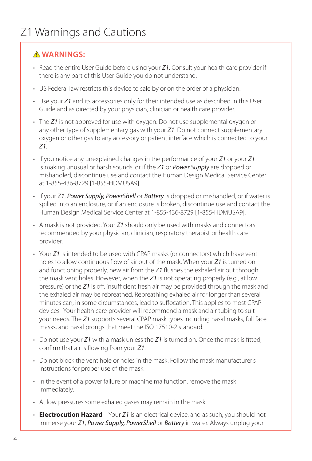#### **WARNINGS:**

- Read the entire User Guide before using your *Z1*. Consult your health care provider if there is any part of this User Guide you do not understand.
- US Federal law restricts this device to sale by or on the order of a physician.
- Use your *Z1* and its accessories only for their intended use as described in this User Guide and as directed by your physician, clinician or health care provider.
- The *Z1* is not approved for use with oxygen. Do not use supplemental oxygen or any other type of supplementary gas with your *Z1*. Do not connect supplementary oxygen or other gas to any accessory or patient interface which is connected to your *Z1*.
- If you notice any unexplained changes in the performance of your *Z1* or your *Z1* is making unusual or harsh sounds, or if the *Z1* or *Power Supply* are dropped or mishandled, discontinue use and contact the Human Design Medical Service Center at 1-855-436-8729 [1-855-HDMUSA9].
- If your *Z1*, *Power Supply, PowerShell* or *Battery* is dropped or mishandled, or if water is spilled into an enclosure, or if an enclosure is broken, discontinue use and contact the Human Design Medical Service Center at 1-855-436-8729 [1-855-HDMUSA9].
- A mask is not provided. Your *Z1* should only be used with masks and connectors recommended by your physician, clinician, respiratory therapist or health care provider.
- Your *Z1* is intended to be used with CPAP masks (or connectors) which have vent holes to allow continuous flow of air out of the mask. When your *Z1* is turned on and functioning properly, new air from the *Z1* flushes the exhaled air out through the mask vent holes. However, when the *Z1* is not operating properly (e.g., at low pressure) or the *Z1* is off, insufficient fresh air may be provided through the mask and the exhaled air may be rebreathed. Rebreathing exhaled air for longer than several minutes can, in some circumstances, lead to suffocation. This applies to most CPAP devices. Your health care provider will recommend a mask and air tubing to suit your needs. The *Z1* supports several CPAP mask types including nasal masks, full face masks, and nasal prongs that meet the ISO 17510-2 standard.
- Do not use your *Z1* with a mask unless the *Z1* is turned on. Once the mask is fitted, confirm that air is flowing from your *Z1*.
- Do not block the vent hole or holes in the mask. Follow the mask manufacturer's instructions for proper use of the mask.
- In the event of a power failure or machine malfunction, remove the mask immediately.
- At low pressures some exhaled gases may remain in the mask.
- **Electrocution Hazard** Your *Z1* is an electrical device, and as such, you should not immerse your *Z1*, *Power Supply, PowerShell* or *Battery* in water. Always unplug your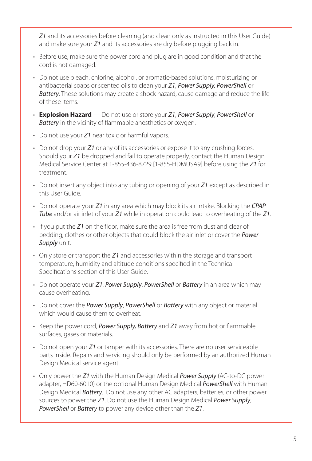*Z1* and its accessories before cleaning (and clean only as instructed in this User Guide) and make sure your *Z1* and its accessories are dry before plugging back in.

- Before use, make sure the power cord and plug are in good condition and that the cord is not damaged.
- Do not use bleach, chlorine, alcohol, or aromatic-based solutions, moisturizing or antibacterial soaps or scented oils to clean your *Z1*, *Power Supply, PowerShell* or *Battery*. These solutions may create a shock hazard, cause damage and reduce the life of these items.
- **Explosion Hazard** Do not use or store your *Z1*, *Power Supply*, *PowerShell* or *Battery* in the vicinity of flammable anesthetics or oxygen.
- Do not use your *Z1* near toxic or harmful vapors.
- Do not drop your *Z1* or any of its accessories or expose it to any crushing forces. Should your *Z1* be dropped and fail to operate properly, contact the Human Design Medical Service Center at 1-855-436-8729 [1-855-HDMUSA9] before using the *Z1* for treatment.
- Do not insert any object into any tubing or opening of your *Z1* except as described in this User Guide.
- Do not operate your *Z1* in any area which may block its air intake. Blocking the *CPAP Tube* and/or air inlet of your *Z1* while in operation could lead to overheating of the *Z1*.
- If you put the *Z1* on the floor, make sure the area is free from dust and clear of bedding, clothes or other objects that could block the air inlet or cover the *Power Supply* unit.
- Only store or transport the *Z1* and accessories within the storage and transport temperature, humidity and altitude conditions specified in the Technical Specifications section of this User Guide.
- Do not operate your *Z1*, *Power Supply*, *PowerShell* or *Battery* in an area which may cause overheating.
- Do not cover the *Power Supply*, *PowerShell* or *Battery* with any object or material which would cause them to overheat.
- Keep the power cord, *Power Supply, Battery* and *Z1* away from hot or flammable surfaces, gases or materials.
- Do not open your *Z1* or tamper with its accessories. There are no user serviceable parts inside. Repairs and servicing should only be performed by an authorized Human Design Medical service agent.
- Only power the *Z1* with the Human Design Medical *Power Supply* (AC-to-DC power adapter, HD60-6010) or the optional Human Design Medical *PowerShell* with Human Design Medical *Battery*. Do not use any other AC adapters, batteries, or other power sources to power the *Z1*. Do not use the Human Design Medical *Power Supply*, *PowerShell* or *Battery* to power any device other than the *Z1*.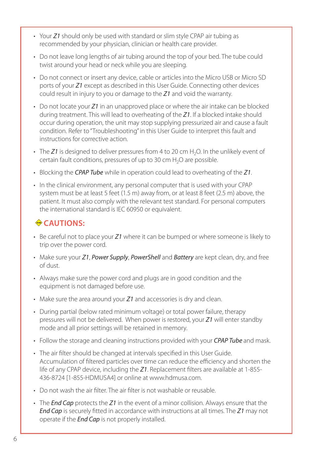- Your *Z1* should only be used with standard or slim style CPAP air tubing as recommended by your physician, clinician or health care provider.
- Do not leave long lengths of air tubing around the top of your bed. The tube could twist around your head or neck while you are sleeping.
- Do not connect or insert any device, cable or articles into the Micro USB or Micro SD ports of your *Z1* except as described in this User Guide. Connecting other devices could result in injury to you or damage to the *Z1* and void the warranty.
- Do not locate your *Z1* in an unapproved place or where the air intake can be blocked during treatment. This will lead to overheating of the *Z1*. If a blocked intake should occur during operation, the unit may stop supplying pressurized air and cause a fault condition. Refer to "Troubleshooting" in this User Guide to interpret this fault and instructions for corrective action.
- The Z1 is designed to deliver pressures from 4 to 20 cm H<sub>2</sub>O. In the unlikely event of certain fault conditions, pressures of up to 30 cm  $H_2O$  are possible.
- Blocking the *CPAP Tube* while in operation could lead to overheating of the *Z1*.
- In the clinical environment, any personal computer that is used with your CPAP system must be at least 5 feet (1.5 m) away from, or at least 8 feet (2.5 m) above, the patient. It must also comply with the relevant test standard. For personal computers the international standard is IEC 60950 or equivalent.

### **◆CAUTIONS:**

- Be careful not to place your *Z1* where it can be bumped or where someone is likely to trip over the power cord.
- Make sure your *Z1*, *Power Supply*, *PowerShell* and *Battery* are kept clean, dry, and free of dust.
- Always make sure the power cord and plugs are in good condition and the equipment is not damaged before use.
- Make sure the area around your *Z1* and accessories is dry and clean.
- During partial (below rated minimum voltage) or total power failure, therapy pressures will not be delivered. When power is restored, your *Z1* will enter standby mode and all prior settings will be retained in memory.
- Follow the storage and cleaning instructions provided with your *CPAP Tube* and mask.
- The air filter should be changed at intervals specified in this User Guide. Accumulation of filtered particles over time can reduce the efficiency and shorten the life of any CPAP device, including the *Z1*. Replacement filters are available at 1-855- 436-8724 [1-855-HDMUSA4] or online at www.hdmusa.com.
- Do not wash the air filter. The air filter is not washable or reusable.
- The *End Cap* protects the *Z1* in the event of a minor collision. Always ensure that the *End Cap* is securely fitted in accordance with instructions at all times. The *Z1* may not operate if the *End Cap* is not properly installed.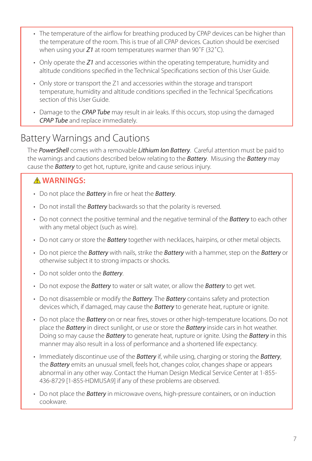- The temperature of the airflow for breathing produced by CPAP devices can be higher than the temperature of the room. This is true of all CPAP devices. Caution should be exercised when using your *Z1* at room temperatures warmer than 90˚F (32˚C).
- Only operate the *Z1* and accessories within the operating temperature, humidity and altitude conditions specified in the Technical Specifications section of this User Guide.
- Only store or transport the Z1 and accessories within the storage and transport temperature, humidity and altitude conditions specified in the Technical Specifications section of this User Guide.
- Damage to the *CPAP Tube* may result in air leaks. If this occurs, stop using the damaged *CPAP Tube* and replace immediately.

## Battery Warnings and Cautions

The *PowerShell* comes with a removable *Lithium Ion Battery*. Careful attention must be paid to the warnings and cautions described below relating to the *Battery*. Misusing the *Battery* may cause the *Battery* to get hot, rupture, ignite and cause serious injury.

#### **WARNINGS:**

- Do not place the *Battery* in fire or heat the *Battery*.
- Do not install the *Battery* backwards so that the polarity is reversed.
- Do not connect the positive terminal and the negative terminal of the *Battery* to each other with any metal object (such as wire).
- Do not carry or store the *Battery* together with necklaces, hairpins, or other metal objects.
- Do not pierce the *Battery* with nails, strike the *Battery* with a hammer, step on the *Battery* or otherwise subject it to strong impacts or shocks.
- Do not solder onto the *Battery*.
- Do not expose the *Battery* to water or salt water, or allow the *Battery* to get wet.
- Do not disassemble or modify the *Battery*. The *Battery* contains safety and protection devices which, if damaged, may cause the *Battery* to generate heat, rupture or ignite.
- Do not place the *Battery* on or near fires, stoves or other high-temperature locations. Do not place the *Battery* in direct sunlight, or use or store the *Battery* inside cars in hot weather. Doing so may cause the *Battery* to generate heat, rupture or ignite. Using the *Battery* in this manner may also result in a loss of performance and a shortened life expectancy.
- Immediately discontinue use of the *Battery* if, while using, charging or storing the *Battery*, the *Battery* emits an unusual smell, feels hot, changes color, changes shape or appears abnormal in any other way. Contact the Human Design Medical Service Center at 1-855- 436-8729 [1-855-HDMUSA9] if any of these problems are observed.
- Do not place the *Battery* in microwave ovens, high-pressure containers, or on induction cookware.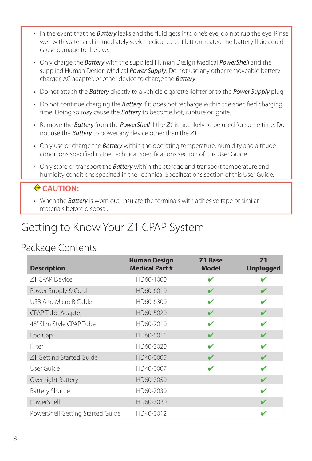- In the event that the *Battery* leaks and the fluid gets into one's eye, do not rub the eye. Rinse well with water and immediately seek medical care. If left untreated the battery fluid could cause damage to the eye.
- Only charge the *Battery* with the supplied Human Design Medical *PowerShell* and the supplied Human Design Medical *Power Supply*. Do not use any other removeable battery charger, AC adapter, or other device to charge the *Battery*.
- Do not attach the *Battery* directly to a vehicle cigarette lighter or to the *Power Supply* plug.
- Do not continue charging the *Battery* if it does not recharge within the specified charging time. Doing so may cause the *Battery* to become hot, rupture or ignite.
- Remove the *Battery* from the *PowerShell* if the *Z1* is not likely to be used for some time. Do not use the *Battery* to power any device other than the *Z1*.
- Only use or charge the *Battery* within the operating temperature, humidity and altitude conditions specified in the Technical Specifications section of this User Guide.
- Only store or transport the *Battery* within the storage and transport temperature and humidity conditions specified in the Technical Specifications section of this User Guide.

#### **← CAUTION:**

• When the *Battery* is worn out, insulate the terminals with adhesive tape or similar materials before disposal.

# Getting to Know Your Z1 CPAP System

### Package Contents

| <b>Description</b>               | <b>Human Design</b><br><b>Medical Part #</b> | Z1 Base<br><b>Model</b> | 71<br><b>Unplugged</b> |
|----------------------------------|----------------------------------------------|-------------------------|------------------------|
| Z1 CPAP Device                   | HD60-1000                                    | ✔                       |                        |
| Power Supply & Cord              | HD60-6010                                    | ✔                       |                        |
| USB A to Micro B Cable           | HD60-6300                                    | ✔                       |                        |
| <b>CPAP Tube Adapter</b>         | HD60-5020                                    | V                       |                        |
| 48" Slim Style CPAP Tube         | HD60-2010                                    |                         |                        |
| End Cap                          | HD60-5011                                    | ✔                       |                        |
| Filter                           | HD60-3020                                    | v                       |                        |
| Z1 Getting Started Guide         | HD40-0005                                    | ✔                       | ✔                      |
| User Guide                       | HD40-0007                                    |                         |                        |
| Overnight Battery                | HD60-7050                                    |                         |                        |
| <b>Battery Shuttle</b>           | HD60-7030                                    |                         | ✔                      |
| PowerShell                       | HD60-7020                                    |                         |                        |
| PowerShell Getting Started Guide | HD40-0012                                    |                         |                        |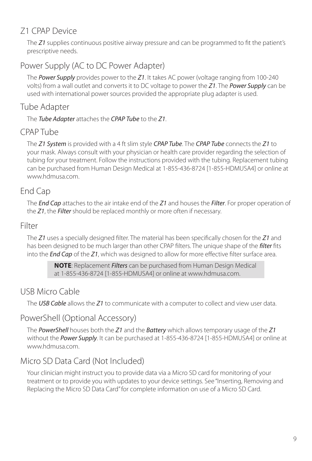#### Z1 CPAP Device

The *Z1* supplies continuous positive airway pressure and can be programmed to fit the patient's prescriptive needs.

#### Power Supply (AC to DC Power Adapter)

The *Power Supply* provides power to the *Z1*. It takes AC power (voltage ranging from 100-240 volts) from a wall outlet and converts it to DC voltage to power the *Z1*. The *Power Supply* can be used with international power sources provided the appropriate plug adapter is used.

#### Tube Adapter

The *Tube Adapter* attaches the *CPAP Tube* to the *Z1*.

#### CPAP Tube

The *Z1 System* is provided with a 4 ft slim style *CPAP Tube*. The *CPAP Tube* connects the *Z1* to your mask. Always consult with your physician or health care provider regarding the selection of tubing for your treatment. Follow the instructions provided with the tubing. Replacement tubing can be purchased from Human Design Medical at 1-855-436-8724 [1-855-HDMUSA4] or online at www.hdmusa.com.

### End Cap

The *End Cap* attaches to the air intake end of the *Z1* and houses the *Filter*. For proper operation of the *Z1*, the *Filter* should be replaced monthly or more often if necessary.

#### Filter

The *Z1* uses a specially designed filter. The material has been specifically chosen for the *Z1* and has been designed to be much larger than other CPAP filters. The unique shape of the *filter* fits into the *End Cap* of the *Z1*, which was designed to allow for more effective filter surface area.

> **NOTE**: Replacement *Filters* can be purchased from Human Design Medical at 1-855-436-8724 [1-855-HDMUSA4] or online at www.hdmusa.com.

### USB Micro Cable

The *USB Cable* allows the *Z1* to communicate with a computer to collect and view user data.

#### PowerShell (Optional Accessory)

The *PowerShell* houses both the *Z1* and the *Battery* which allows temporary usage of the *Z1* without the *Power Supply*. It can be purchased at 1-855-436-8724 [1-855-HDMUSA4] or online at www.hdmusa.com.

### Micro SD Data Card (Not Included)

Your clinician might instruct you to provide data via a Micro SD card for monitoring of your treatment or to provide you with updates to your device settings. See "Inserting, Removing and Replacing the Micro SD Data Card" for complete information on use of a Micro SD Card.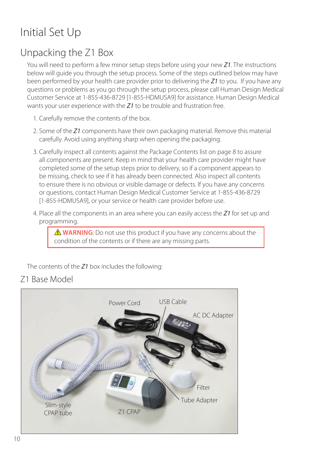# Initial Set Up

## Unpacking the Z1 Box

You will need to perform a few minor setup steps before using your new *Z1*. The instructions below will guide you through the setup process. Some of the steps outlined below may have been performed by your health care provider prior to delivering the *Z1* to you. If you have any questions or problems as you go through the setup process, please call Human Design Medical Customer Service at 1-855-436-8729 [1-855-HDMUSA9] for assistance. Human Design Medical wants your user experience with the *Z1* to be trouble and frustration free.

- 1. Carefully remove the contents of the box.
- 2. Some of the *Z1* components have their own packaging material. Remove this material carefully. Avoid using anything sharp when opening the packaging.
- 3. Carefully inspect all contents against the Package Contents list on page 8 to assure all components are present. Keep in mind that your health care provider might have completed some of the setup steps prior to delivery, so if a component appears to be missing, check to see if it has already been connected. Also inspect all contents to ensure there is no obvious or visible damage or defects. If you have any concerns or questions, contact Human Design Medical Customer Service at 1-855-436-8729 [1-855-HDMUSA9], or your service or health care provider before use.
- 4. Place all the components in an area where you can easily access the *Z1* for set up and programming.

**A WARNING**: Do not use this product if you have any concerns about the condition of the contents or if there are any missing parts.

The contents of the *Z1* box includes the following:

Z1 Base Model

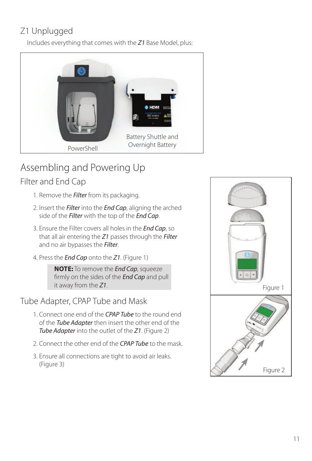## Z1 Unplugged

Includes everything that comes with the *Z1* Base Model, plus:



# Assembling and Powering Up

### Filter and End Cap

- 1. Remove the *Filter* from its packaging.
- 2. Insert the *Filter* into the *End Cap*, aligning the arched side of the *Filter* with the top of the *End Cap*.
- 3. Ensure the Filter covers all holes in the *End Cap*, so that all air entering the *Z1* passes through the *Filter* and no air bypasses the *Filter*.
- 4. Press the *End Cap* onto the *Z1*. (Figure 1)

**NOTE:** To remove the *End Cap*, squeeze firmly on the sides of the *End Cap* and pull it away from the *Z1*.

Tube Adapter, CPAP Tube and Mask

- 1. Connect one end of the *CPAP Tube* to the round end of the *Tube Adapter* then insert the other end of the *Tube Adapter* into the outlet of the *Z1*. (Figure 2)
- 2. Connect the other end of the *CPAP Tube* to the mask.
- 3. Ensure all connections are tight to avoid air leaks. (Figure 3)

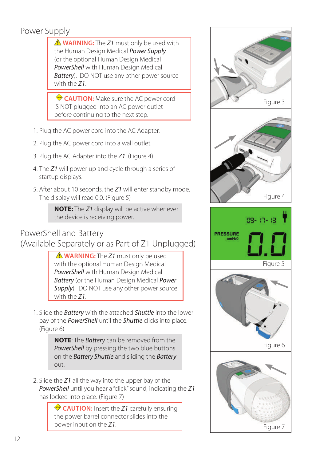## Power Supply

 **WARNING:** The *Z1* must only be used with the Human Design Medical *Power Supply* (or the optional Human Design Medical *PowerShell* with Human Design Medical *Battery*). DO NOT use any other power source with the *Z1*.

 **CAUTION:** Make sure the AC power cord IS NOT plugged into an AC power outlet before continuing to the next step.

- 1. Plug the AC power cord into the AC Adapter.
- 2. Plug the AC power cord into a wall outlet.
- 3. Plug the AC Adapter into the *Z1*. (Figure 4)
- 4. The *Z1* will power up and cycle through a series of startup displays.
- 5. After about 10 seconds, the *Z1* will enter standby mode. The display will read 0.0. (Figure 5)

**NOTE:** The *Z1* display will be active whenever the device is receiving power.

#### PowerShell and Battery

(Available Separately or as Part of Z1 Unplugged)

 **WARNING:** The *Z1* must only be used with the optional Human Design Medical *PowerShell* with Human Design Medical *Battery* (or the Human Design Medical *Power*  **Supply**). DO NOT use any other power source with the *Z1*.

1. Slide the *Battery* with the attached *Shuttle* into the lower bay of the *PowerShell* until the *Shuttle* clicks into place. (Figure 6)

> **NOTE**: The *Battery* can be removed from the *PowerShell* by pressing the two blue buttons on the *Battery Shuttle* and sliding the *Battery* out.

2. Slide the *Z1* all the way into the upper bay of the *PowerShell* until you hear a "click" sound, indicating the *Z1* has locked into place. (Figure 7)

> **CAUTION:** Insert the *Z1* carefully ensuring the power barrel connector slides into the power input on the *Z1*.



Figure 7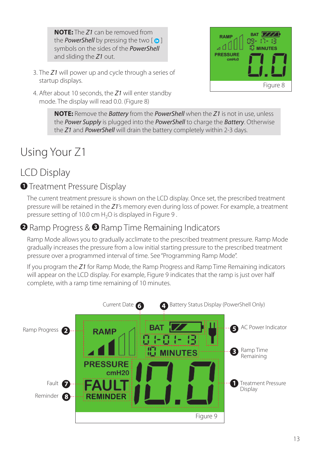**NOTE:** The *Z1* can be removed from the **PowerShell** by pressing the two  $\lceil \bullet \rceil$ symbols on the sides of the *PowerShell* and sliding the *Z1* out.

- 3. The *Z1* will power up and cycle through a series of startup displays.
- 4. After about 10 seconds, the *Z1* will enter standby mode. The display will read 0.0. (Figure 8)



**NOTE:** Remove the *Battery* from the *PowerShell* when the *Z1* is not in use, unless the *Power Supply* is plugged into the *PowerShell* to charge the *Battery*. Otherwise the *Z1* and *PowerShell* will drain the battery completely within 2-3 days.

# Using Your Z1

## LCD Display

#### **O** Treatment Pressure Display

The current treatment pressure is shown on the LCD display. Once set, the prescribed treatment pressure will be retained in the *Z1*'s memory even during loss of power. For example, a treatment pressure setting of 10.0 cm  $H_2O$  is displayed in Figure 9.

#### **<sup>2</sup>** Ramp Progress & <sup>3</sup> Ramp Time Remaining Indicators

Ramp Mode allows you to gradually acclimate to the prescribed treatment pressure. Ramp Mode gradually increases the pressure from a low initial starting pressure to the prescribed treatment pressure over a programmed interval of time. See "Programming Ramp Mode".

If you program the *Z1* for Ramp Mode, the Ramp Progress and Ramp Time Remaining indicators will appear on the LCD display. For example, Figure 9 indicates that the ramp is just over half complete, with a ramp time remaining of 10 minutes.

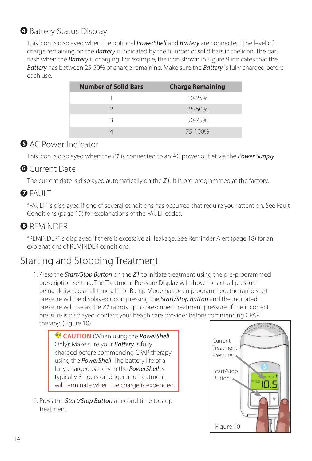## **Battery Status Display**

This icon is displayed when the optional *PowerShell* and *Battery* are connected. The level of charge remaining on the *Battery* is indicated by the number of solid bars in the icon. The bars flash when the *Battery* is charging. For example, the icon shown in Figure 9 indicates that the *Battery* has between 25-50% of charge remaining. Make sure the *Battery* is fully charged before each use.

| <b>Number of Solid Bars</b> | <b>Charge Remaining</b> |
|-----------------------------|-------------------------|
|                             | $10 - 25%$              |
|                             | $25 - 50%$              |
|                             | 50-75%                  |
|                             | 75-100%                 |

#### **AC Power Indicator**

This icon is displayed when the *Z1* is connected to an AC power outlet via the *Power Supply*.

#### **G** Current Date

The current date is displayed automatically on the *Z1*. It is pre-programmed at the factory.

### $\bigcirc$  FAULT

"FAULT" is displayed if one of several conditions has occurred that require your attention. See Fault Conditions (page 19) for explanations of the FAULT codes.

### **<sup>3</sup>** REMINDER

"REMINDER" is displayed if there is excessive air leakage. See Reminder Alert (page 18) for an explanations of REMINDER conditions.

## Starting and Stopping Treatment

1. Press the *Start/Stop Button* on the *Z1* to initiate treatment using the pre-programmed prescription setting. The Treatment Pressure Display will show the actual pressure being delivered at all times. If the Ramp Mode has been programmed, the ramp start pressure will be displayed upon pressing the *Start/Stop Button* and the indicated pressure will rise as the *Z1* ramps up to prescribed treatment pressure. If the incorrect pressure is displayed, contact your health care provider before commencing CPAP therapy. (Figure 10)

 **CAUTION** (When using the *PowerShell* Only): Make sure your *Battery* is fully charged before commencing CPAP therapy using the *PowerShell*. The battery life of a fully charged battery in the *PowerShell* is typically 8 hours or longer and treatment will terminate when the charge is expended.

2. Press the *Start/Stop Button* a second time to stop treatment.

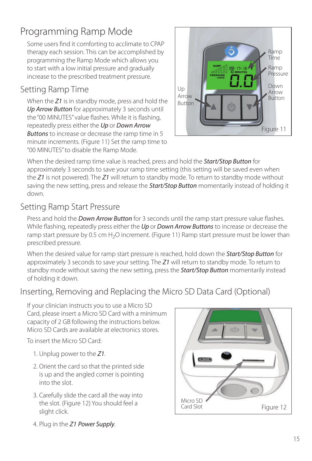## Programming Ramp Mode

Some users find it comforting to acclimate to CPAP therapy each session. This can be accomplished by programming the Ramp Mode which allows you to start with a low initial pressure and gradually increase to the prescribed treatment pressure.

### Setting Ramp Time

When the *Z1* is in standby mode, press and hold the *Up Arrow Button* for approximately 3 seconds until the "00 MINUTES" value flashes. While it is flashing, repeatedly press either the *Up* or *Down Arrow Buttons* to increase or decrease the ramp time in 5 minute increments. (Figure 11) Set the ramp time to "00 MINUTES" to disable the Ramp Mode.



When the desired ramp time value is reached, press and hold the *Start/Stop Button* for approximately 3 seconds to save your ramp time setting (this setting will be saved even when the *Z1* is not powered). The *Z1* will return to standby mode. To return to standby mode without saving the new setting, press and release the *Start/Stop Button* momentarily instead of holding it down.

#### Setting Ramp Start Pressure

Press and hold the *Down Arrow Button* for 3 seconds until the ramp start pressure value flashes. While flashing, repeatedly press either the *Up* or *Down Arrow Buttons* to increase or decrease the ramp start pressure by 0.5 cm  $H_2O$  increment. (Figure 11) Ramp start pressure must be lower than prescribed pressure.

When the desired value for ramp start pressure is reached, hold down the *Start/Stop Button* for approximately 3 seconds to save your setting. The *Z1* will return to standby mode. To return to standby mode without saving the new setting, press the *Start/Stop Button* momentarily instead of holding it down.

#### Inserting, Removing and Replacing the Micro SD Data Card (Optional)

If your clinician instructs you to use a Micro SD Card, please insert a Micro SD Card with a minimum capacity of 2 GB following the instructions below. Micro SD Cards are available at electronics stores.

To insert the Micro SD Card:

- 1. Unplug power to the *Z1*.
- 2. Orient the card so that the printed side is up and the angled corner is pointing into the slot.
- 3. Carefully slide the card all the way into the slot. (Figure 12) You should feel a slight click.
- Figure 12 Micro SD Card Slot

4. Plug in the *Z1 Power Supply*.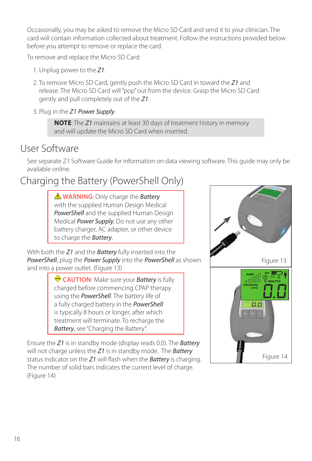Occasionally, you may be asked to remove the Micro SD Card and send it to your clinician. The card will contain information collected about treatment. Follow the instructions provided below before you attempt to remove or replace the card.

To remove and replace the Micro SD Card:

- 1. Unplug power to the *Z1*.
- 2. To remove Micro SD Card, gently push the Micro SD Card in toward the *Z1* and release. The Micro SD Card will "pop" out from the device. Grasp the Micro SD Card gently and pull completely out of the *Z1*.
- 3. Plug in the *Z1 Power Supply*.

**NOTE**: The *Z1* maintains at least 30 days of treatment history in memory and will update the Micro SD Card when inserted.

### User Software

See separate Z1 Software Guide for information on data viewing software. This guide may only be available online.

## Charging the Battery (PowerShell Only)

 **WARNING**: Only charge the *Battery* with the supplied Human Design Medical *PowerShell* and the supplied Human Design Medical *Power Supply.* Do not use any other battery charger, AC adapter, or other device to charge the *Battery*.

With both the *Z1* and the *Battery* fully inserted into the *PowerShell*, plug the *Power Supply* into the *PowerShell* as shown and into a power outlet. (Figure 13)

> **CAUTION:** Make sure your *Battery* is fully charged before commencing CPAP therapy using the *PowerShell*. The battery life of a fully charged battery in the *PowerShell* is typically 8 hours or longer, after which treatment will terminate. To recharge the *Battery*, see "Charging the Battery".

Ensure the *Z1* is in standby mode (display reads 0.0). The *Battery* will not charge unless the *Z1* is in standby mode. The *Battery* status indicator on the *Z1* will flash when the *Battery* is charging. The number of solid bars indicates the current level of charge. (Figure 14)

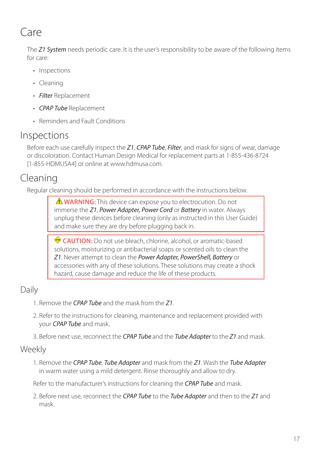# Care

The *Z1 System* needs periodic care. It is the user's responsibility to be aware of the following items for care:

- Inspections
- Cleaning
- *Filter* Replacement
- *CPAP Tube* Replacement
- Reminders and Fault Conditions

### Inspections

Before each use carefully inspect the *Z1*, *CPAP Tube*, *Filter*, and mask for signs of wear, damage or discoloration. Contact Human Design Medical for replacement parts at 1-855-436-8724 [1-855-HDMUSA4] or online at www.hdmusa.com.

## Cleaning

Regular cleaning should be performed in accordance with the instructions below.

 **WARNING:** This device can expose you to electrocution. Do not immerse the *Z1*, *Power Adapter, Power Cord* or *Battery* in water. Always unplug these devices before cleaning (only as instructed in this User Guide) and make sure they are dry before plugging back in.

 **CAUTION:** Do not use bleach, chlorine, alcohol, or aromatic-based solutions, moisturizing or antibacterial soaps or scented oils to clean the *Z1*. Never attempt to clean the *Power Adapter, PowerShell, Battery* or accessories with any of these solutions. These solutions may create a shock hazard, cause damage and reduce the life of these products.

### Daily

- 1. Remove the *CPAP Tube* and the mask from the *Z1*.
- 2. Refer to the instructions for cleaning, maintenance and replacement provided with your *CPAP Tube* and mask.
- 3. Before next use, reconnect the *CPAP Tube* and the *Tube Adapter* to the *Z1* and mask.

#### Weekly

1. Remove the *CPAP Tube*, *Tube Adapter* and mask from the *Z1*. Wash the *Tube Adapter*  in warm water using a mild detergent. Rinse thoroughly and allow to dry.

Refer to the manufacturer's instructions for cleaning the *CPAP Tube* and mask.

2. Before next use, reconnect the *CPAP Tube* to the *Tube Adapter* and then to the *Z1* and mask.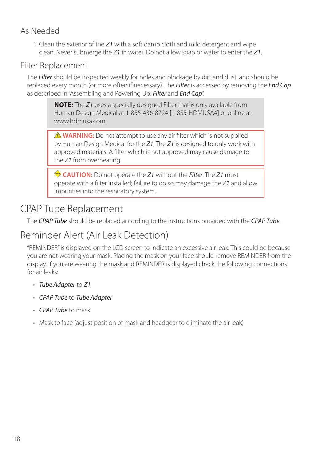#### As Needed

1. Clean the exterior of the *Z1* with a soft damp cloth and mild detergent and wipe clean. Never submerge the *Z1* in water. Do not allow soap or water to enter the *Z1*.

#### Filter Replacement

The *Filter* should be inspected weekly for holes and blockage by dirt and dust, and should be replaced every month (or more often if necessary). The *Filter* is accessed by removing the *End Cap* as described in "Assembling and Powering Up: *Filter* and *End Cap*".

**NOTE:** The *Z1* uses a specially designed Filter that is only available from Human Design Medical at 1-855-436-8724 [1-855-HDMUSA4] or online at www.hdmusa.com.

**A WARNING:** Do not attempt to use any air filter which is not supplied by Human Design Medical for the *Z1*. The *Z1* is designed to only work with approved materials. A filter which is not approved may cause damage to the *Z1* from overheating.

 **CAUTION:** Do not operate the *Z1* without the *Filter*. The *Z1* must operate with a filter installed; failure to do so may damage the *Z1* and allow impurities into the respiratory system.

## CPAP Tube Replacement

The *CPAP Tube* should be replaced according to the instructions provided with the *CPAP Tube*.

## Reminder Alert (Air Leak Detection)

"REMINDER" is displayed on the LCD screen to indicate an excessive air leak. This could be because you are not wearing your mask. Placing the mask on your face should remove REMINDER from the display. If you are wearing the mask and REMINDER is displayed check the following connections for air leaks:

- *Tube Adapter* to *Z1*
- *CPAP Tube* to *Tube Adapter*
- *CPAP Tube* to mask
- Mask to face (adjust position of mask and headgear to eliminate the air leak)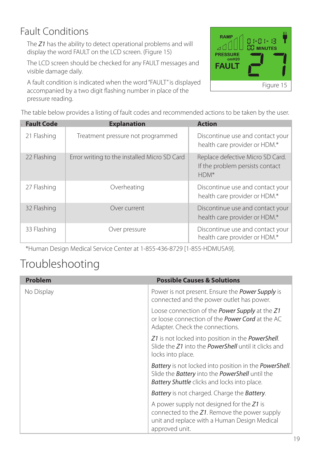## Fault Conditions

The *Z1* has the ability to detect operational problems and will display the word FAULT on the LCD screen. (Figure 15)

The LCD screen should be checked for any FAULT messages and visible damage daily.

A fault condition is indicated when the word "FAULT" is displayed accompanied by a two digit flashing number in place of the pressure reading.



The table below provides a listing of fault codes and recommended actions to be taken by the user.

| <b>Fault Code</b> | <b>Explanation</b>                           | <b>Action</b>                                                                 |
|-------------------|----------------------------------------------|-------------------------------------------------------------------------------|
| 21 Flashing       | Treatment pressure not programmed            | Discontinue use and contact your<br>health care provider or HDM.*             |
| 22 Flashing       | Error writing to the installed Micro SD Card | Replace defective Micro SD Card.<br>If the problem persists contact<br>$HDM*$ |
| 27 Flashing       | Overheating                                  | Discontinue use and contact your<br>health care provider or HDM.*             |
| 32 Flashing       | Over current                                 | Discontinue use and contact your<br>health care provider or HDM.*             |
| 33 Flashing       | Over pressure                                | Discontinue use and contact your<br>health care provider or HDM.*             |

\*Human Design Medical Service Center at 1-855-436-8729 [1-855-HDMUSA9].

## Troubleshooting

| Problem    | <b>Possible Causes &amp; Solutions</b>                                                                                                                                                        |
|------------|-----------------------------------------------------------------------------------------------------------------------------------------------------------------------------------------------|
| No Display | Power is not present. Ensure the <b>Power Supply</b> is<br>connected and the power outlet has power.                                                                                          |
|            | Loose connection of the <b>Power Supply</b> at the Z1<br>or loose connection of the <b>Power Cord</b> at the AC<br>Adapter. Check the connections.                                            |
|            | Z1 is not locked into position in the PowerShell.<br>Slide the Z1 into the <b>PowerShell</b> until it clicks and<br>locks into place.                                                         |
|            | <b>Battery</b> is not locked into position in the <b>PowerShell</b> .<br>Slide the <b>Battery</b> into the <b>PowerShell</b> until the<br><b>Battery Shuttle</b> clicks and locks into place. |
|            | <b>Battery</b> is not charged. Charge the <b>Battery</b> .                                                                                                                                    |
|            | A power supply not designed for the $Z_1$ is<br>connected to the Z1. Remove the power supply<br>unit and replace with a Human Design Medical<br>approved unit.                                |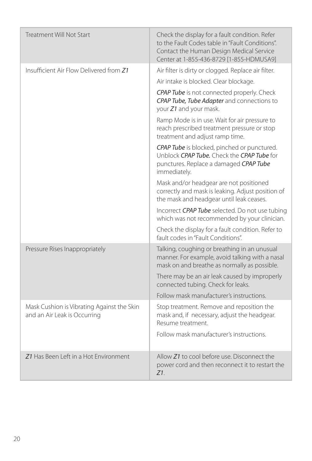| <b>Treatment Will Not Start</b>                                            | Check the display for a fault condition. Refer<br>to the Fault Codes table in "Fault Conditions".<br>Contact the Human Design Medical Service<br>Center at 1-855-436-8729 [1-855-HDMUSA9] |
|----------------------------------------------------------------------------|-------------------------------------------------------------------------------------------------------------------------------------------------------------------------------------------|
| Insufficient Air Flow Delivered from Z1                                    | Air filter is dirty or clogged. Replace air filter.                                                                                                                                       |
|                                                                            | Air intake is blocked. Clear blockage.                                                                                                                                                    |
|                                                                            | CPAP Tube is not connected properly. Check<br>CPAP Tube, Tube Adapter and connections to<br>your Z1 and your mask.                                                                        |
|                                                                            | Ramp Mode is in use. Wait for air pressure to<br>reach prescribed treatment pressure or stop<br>treatment and adjust ramp time.                                                           |
|                                                                            | CPAP Tube is blocked, pinched or punctured.<br>Unblock CPAP Tube. Check the CPAP Tube for<br>punctures. Replace a damaged CPAP Tube<br>immediately.                                       |
|                                                                            | Mask and/or headgear are not positioned<br>correctly and mask is leaking. Adjust position of<br>the mask and headgear until leak ceases.                                                  |
|                                                                            | Incorrect CPAP Tube selected. Do not use tubing<br>which was not recommended by your clinician.                                                                                           |
|                                                                            | Check the display for a fault condition. Refer to<br>fault codes in "Fault Conditions".                                                                                                   |
| Pressure Rises Inappropriately                                             | Talking, coughing or breathing in an unusual<br>manner. For example, avoid talking with a nasal<br>mask on and breathe as normally as possible.                                           |
|                                                                            | There may be an air leak caused by improperly<br>connected tubing. Check for leaks.                                                                                                       |
|                                                                            | Follow mask manufacturer's instructions.                                                                                                                                                  |
| Mask Cushion is Vibrating Against the Skin<br>and an Air Leak is Occurring | Stop treatment. Remove and reposition the<br>mask and, if necessary, adjust the headgear.<br>Resume treatment.                                                                            |
|                                                                            | Follow mask manufacturer's instructions.                                                                                                                                                  |
| Z1 Has Been Left in a Hot Environment                                      | Allow Z1 to cool before use. Disconnect the<br>power cord and then reconnect it to restart the<br>$Z1$ .                                                                                  |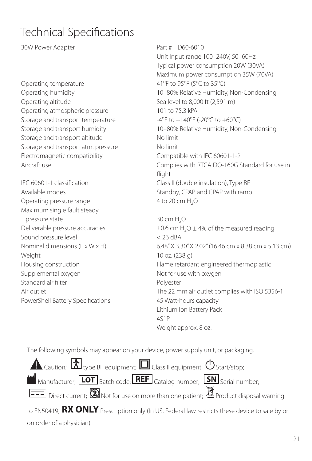# Technical Specifications

30W Power Adapter **Part # HD60-6010** 

Operating temperature 41°F to 95°F (5°C to 35°C) Operating altitude Sea level to 8,000 ft (2,591 m) Operating atmospheric pressure 101 to 75.3 kPA Storage and transport temperature  $-4^{\circ}F$  to  $+140^{\circ}F$  (-20 $^{\circ}C$  to  $+60^{\circ}C$ ) Storage and transport altitude No limit Storage and transport atm. pressure No limit Electromagnetic compatibility Compatible with IEC 60601-1-2

Operating pressure range  $4 \text{ to } 20 \text{ cm H}_2\text{O}$ Maximum single fault steady pressure state  $30 \text{ cm H}_2\text{O}$ Sound pressure level  $< 26$  dBA Weight 10 oz. (238 g) Supplemental oxygen Not for use with oxygen Standard air filter **Polyester** Polyester PowerShell Battery Specifications 45 Watt-hours capacity

Unit Input range 100–240V, 50–60Hz Typical power consumption 20W (30VA) Maximum power consumption 35W (70VA) Operating humidity 10–80% Relative Humidity, Non-Condensing Storage and transport humidity 10–80% Relative Humidity, Non-Condensing Aircraft use Complies with RTCA DO-160G Standard for use in flight IEC 60601-1 classification Class II (double insulation), Type BF Available modes The Standby, CPAP and CPAP with ramp

Deliverable pressure accuracies  $\pm 0.6$  cm H<sub>2</sub>O  $\pm$  4% of the measured reading Nominal dimensions (L x W x H) 6.48" X 3.30" X 2.02" (16.46 cm x 8.38 cm x 5.13 cm) Housing construction Flame retardant engineered thermoplastic Air outlet **The 22 mm air outlet complies with ISO 5356-1** Lithium Ion Battery Pack 4S1P Weight approx. 8 oz.

The following symbols may appear on your device, power supply unit, or packaging.

Caution;  $\delta$  type BF equipment;  $\square$  Class II equipment;  $\bigcirc$  Start/stop;  $M$  Manufacturer;  $\boxed{\text{LOT}}$  Batch code;  $\boxed{\text{REF}}$  Catalog number;  $\boxed{\text{SN}}$  Serial number; Direct current; **N**O Not for use on more than one patient; **NA** Product disposal warning to EN50419; RX ONLY Prescription only (In US. Federal law restricts these device to sale by or on order of a physician).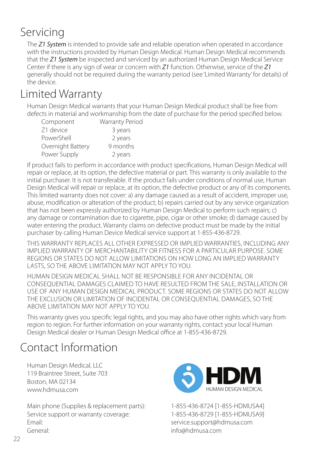# Servicing

The *Z1 System* is intended to provide safe and reliable operation when operated in accordance with the instructions provided by Human Design Medical. Human Design Medical recommends that the *Z1 System* be inspected and serviced by an authorized Human Design Medical Service Center if there is any sign of wear or concern with *Z1* function. Otherwise, service of the *Z1* generally should not be required during the warranty period (see 'Limited Warranty' for details) of the device.

# Limited Warranty

Human Design Medical warrants that your Human Design Medical product shall be free from defects in material and workmanship from the date of purchase for the period specified below.

| Component         | <b>Warranty Period</b> |
|-------------------|------------------------|
| Z1 device         | 3 years                |
| PowerShell        | 2 years                |
| Overnight Battery | 9 months               |
| Power Supply      | 2 years                |

If product fails to perform in accordance with product specifications, Human Design Medical will repair or replace, at its option, the defective material or part. This warranty is only available to the initial purchaser. It is not transferable. If the product fails under conditions of normal use, Human Design Medical will repair or replace, at its option, the defective product or any of its components. This limited warranty does not cover: a) any damage caused as a result of accident, improper use, abuse, modification or alteration of the product; b) repairs carried out by any service organization that has not been expressly authorized by Human Design Medical to perform such repairs; c) any damage or contamination due to cigarette, pipe, cigar or other smoke; d) damage caused by water entering the product. Warranty claims on defective product must be made by the initial purchaser by calling Human Device Medical service support at 1-855-436-8729.

THIS WARRANTY REPLACES ALL OTHER EXPRESSED OR IMPLIED WARRANTIES, INCLUDING ANY IMPLIED WARRANTY OF MERCHANTABILITY OR FITNESS FOR A PARTICULAR PURPOSE. SOME REGIONS OR STATES DO NOT ALLOW LIMITATIONS ON HOW LONG AN IMPLIED WARRANTY LASTS, SO THE ABOVE LIMITATION MAY NOT APPLY TO YOU.

HUMAN DESIGN MEDICAL SHALL NOT BE RESPONSIBLE FOR ANY INCIDENTAL OR CONSEQUENTIAL DAMAGES CLAIMED TO HAVE RESULTED FROM THE SALE, INSTALLATION OR USE OF ANY HUMAN DESIGN MEDICAL PRODUCT. SOME REGIONS OR STATES DO NOT ALLOW THE EXCLUSION OR LIMITATION OF INCIDENTAL OR CONSEQUENTIAL DAMAGES, SO THE ABOVE LIMITATION MAY NOT APPLY TO YOU.

This warranty gives you specific legal rights, and you may also have other rights which vary from region to region. For further information on your warranty rights, contact your local Human Design Medical dealer or Human Design Medical office at 1-855-436-8729.

# Contact Information

Human Design Medical, LLC 119 Braintree Street, Suite 703 Boston, MA 02134 www.hdmusa.com

Main phone (Supplies & replacement parts): 1-855-436-8724 [1-855-HDMUSA4] Service support or warranty coverage:  $1-855-436-8729$  [1-855-HDMUSA9] Email: service.support@hdmusa.com General: info@hdmusa.com

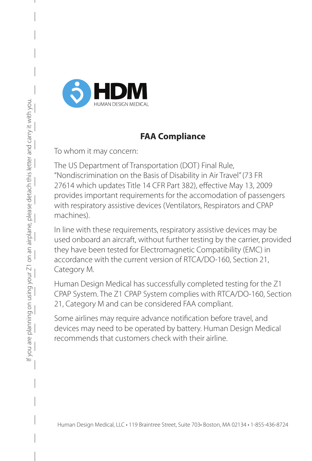

#### **FAA Compliance**

To whom it may concern:

The US Department of Transportation (DOT) Final Rule, "Nondiscrimination on the Basis of Disability in Air Travel" (73 FR 27614 which updates Title 14 CFR Part 382), effective May 13, 2009 provides important requirements for the accomodation of passengers with respiratory assistive devices (Ventilators, Respirators and CPAP machines).

In line with these requirements, respiratory assistive devices may be used onboard an aircraft, without further testing by the carrier, provided they have been tested for Electromagnetic Compatibility (EMC) in accordance with the current version of RTCA/DO-160, Section 21, Category M.

Human Design Medical has successfully completed testing for the Z1 CPAP System. The Z1 CPAP System complies with RTCA/DO-160, Section 21, Category M and can be considered FAA compliant.

Some airlines may require advance notification before travel, and devices may need to be operated by battery. Human Design Medical recommends that customers check with their airline.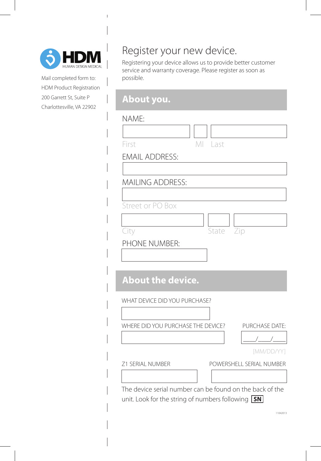

Mail completed form to: HDM Product Registration 200 Garrett St, Suite P Charlottesville, VA 22902

## Register your new device.

Registering your device allows us to provide better customer service and warranty coverage. Please register as soon as possible.

## **About you.**

#### NAME:

| INAIVIE.                                                           |
|--------------------------------------------------------------------|
|                                                                    |
| First<br>MI Last                                                   |
| <b>EMAIL ADDRESS:</b>                                              |
|                                                                    |
| <b>MAILING ADDRESS:</b>                                            |
|                                                                    |
| Street or PO Box                                                   |
|                                                                    |
| State Zip<br>City                                                  |
| PHONE NUMBER:                                                      |
|                                                                    |
|                                                                    |
| <b>About the device.</b>                                           |
| WHAT DEVICE DID YOU PURCHASE?                                      |
|                                                                    |
| WHERE DID YOU PURCHASE THE DEVICE?<br>PURCHASE DATE:               |
|                                                                    |
| [MM/DD/YY]                                                         |
| Z1 SERIAL NUMBER<br>POWERSHELL SERIAL NUMBER                       |
|                                                                    |
| The device serial number can be found on the back of the           |
| unit. Look for the string of numbers following $\boxed{\text{SN}}$ |